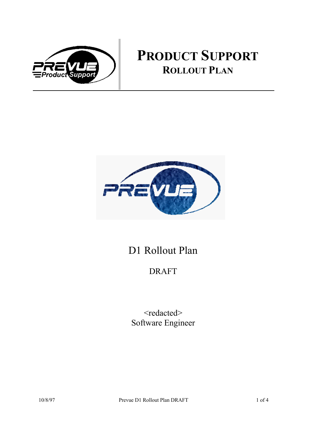

# **PRODUCT SUPPORT ROLLOUT PLAN**



## D1 Rollout Plan

## DRAFT

<redacted> Software Engineer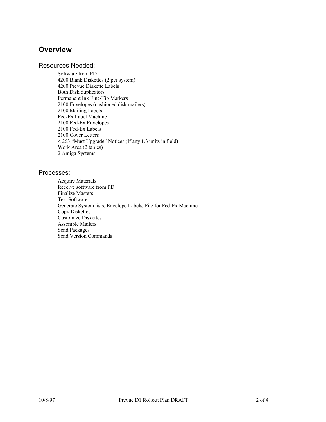### **Overview**

### Resources Needed:

Software from PD 4200 Blank Diskettes (2 per system) 4200 Prevue Diskette Labels Both Disk duplicators Permanent Ink Fine-Tip Markers 2100 Envelopes (cushioned disk mailers) 2100 Mailing Labels Fed-Ex Label Machine 2100 Fed-Ex Envelopes 2100 Fed-Ex Labels 2100 Cover Letters < 263 "Must Upgrade" Notices (If any 1.3 units in field) Work Area (2 tables) 2 Amiga Systems

### Processes:

Acquire Materials Receive software from PD Finalize Masters Test Software Generate System lists, Envelope Labels, File for Fed-Ex Machine Copy Diskettes Customize Diskettes Assemble Mailers Send Packages Send Version Commands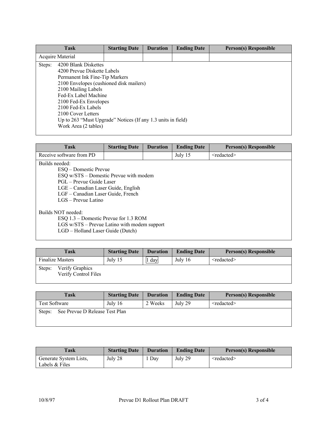|                  | <b>Task</b>                                                                                                                                                                                                                                                                                                                                  | <b>Starting Date</b> | <b>Duration</b> | <b>Ending Date</b> | <b>Person(s) Responsible</b> |
|------------------|----------------------------------------------------------------------------------------------------------------------------------------------------------------------------------------------------------------------------------------------------------------------------------------------------------------------------------------------|----------------------|-----------------|--------------------|------------------------------|
| Acquire Material |                                                                                                                                                                                                                                                                                                                                              |                      |                 |                    |                              |
| Steps:           | 4200 Blank Diskettes<br>4200 Prevue Diskette Labels<br>Permanent Ink Fine-Tip Markers<br>2100 Envelopes (cushioned disk mailers)<br>2100 Mailing Labels<br>Fed-Ex Label Machine<br>2100 Fed-Ex Envelopes<br>2100 Fed-Ex Labels<br>2100 Cover Letters<br>Up to 263 "Must Upgrade" Notices (If any 1.3 units in field)<br>Work Area (2 tables) |                      |                 |                    |                              |

| <b>Task</b>                                                                                                                                                                                                         | <b>Starting Date</b> | <b>Duration</b> | <b>Ending Date</b> | <b>Person(s) Responsible</b> |  |
|---------------------------------------------------------------------------------------------------------------------------------------------------------------------------------------------------------------------|----------------------|-----------------|--------------------|------------------------------|--|
| Receive software from PD                                                                                                                                                                                            |                      |                 | July 15            | $\le$ redacted $\ge$         |  |
| Builds needed:<br>ESO – Domestic Prevue<br>ESQ w/STS – Domestic Prevue with modem<br>PGL - Prevue Guide Laser<br>LGE - Canadian Laser Guide, English<br>LGF – Canadian Laser Guide, French<br>$LGS$ – Prevue Latino |                      |                 |                    |                              |  |
| Builds NOT needed:<br>ESQ 1.3 – Domestic Prevue for 1.3 ROM<br>LGS w/STS – Prevue Latino with modem support<br>LGD - Holland Laser Guide (Dutch)                                                                    |                      |                 |                    |                              |  |

| Task                                              | <b>Starting Date</b> | <b>Duration</b> | <b>Ending Date</b> | Person(s) Responsible |
|---------------------------------------------------|----------------------|-----------------|--------------------|-----------------------|
| <b>Finalize Masters</b>                           | July 15              | day             | July $16$          | $\le$ redacted $\ge$  |
| Verify Graphics<br>Steps:<br>Verify Control Files |                      |                 |                    |                       |

| Task                                     | <b>Starting Date</b> | <b>Duration</b> | <b>Ending Date</b> | Person(s) Responsible |
|------------------------------------------|----------------------|-----------------|--------------------|-----------------------|
| <b>Test Software</b>                     | July $16$            | 2 Weeks         | July 29            | $\le$ redacted $\ge$  |
| See Prevue D Release Test Plan<br>Steps: |                      |                 |                    |                       |

| Task                                     | <b>Starting Date</b> | <b>Duration</b> | <b>Ending Date</b> | <b>Person(s) Responsible</b> |
|------------------------------------------|----------------------|-----------------|--------------------|------------------------------|
| Generate System Lists,<br>Labels & Files | July 28              | Day             | July 29            | $\le$ redacted $\ge$         |